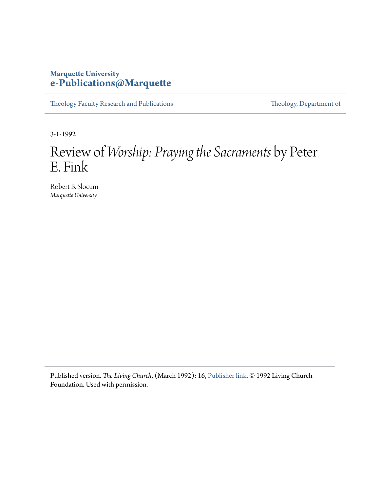### **Marquette University [e-Publications@Marquette](https://epublications.marquette.edu)**

[Theology Faculty Research and Publications](https://epublications.marquette.edu/theo_fac) [Theology, Department of](https://epublications.marquette.edu/Theology)

3-1-1992

# Review of *Worship: Praying the Sacraments* by Peter E. Fink

Robert B. Slocum *Marquette University*

Published version*. The Living Church*, (March 1992): 16, [Publisher link](https://livingchurch.org/). © 1992 Living Church Foundation. Used with permission.